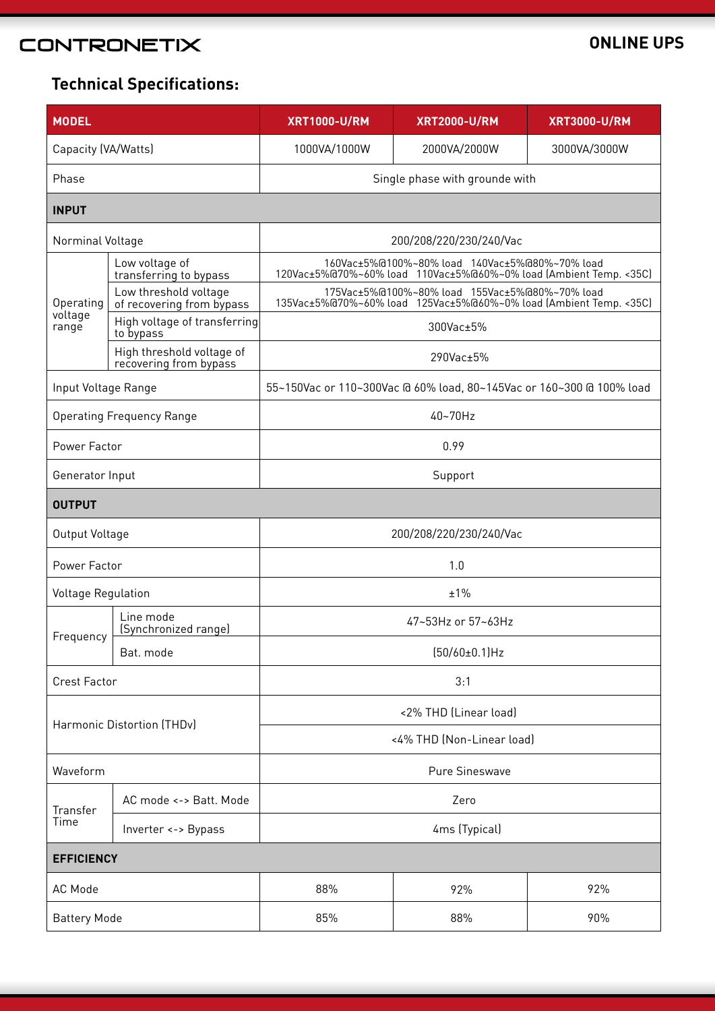# **CONTRONETIX**

### **ONLINE UPS**

## **Technical Specifications:**

| <b>MODEL</b>                     |                                                     | <b>XRT1000-U/RM</b>                                                                                                  | <b>XRT2000-U/RM</b> | <b>XRT3000-U/RM</b> |  |
|----------------------------------|-----------------------------------------------------|----------------------------------------------------------------------------------------------------------------------|---------------------|---------------------|--|
| Capacity (VA/Watts)              |                                                     | 1000VA/1000W                                                                                                         | 2000VA/2000W        | 3000VA/3000W        |  |
| Phase                            |                                                     | Single phase with grounde with                                                                                       |                     |                     |  |
| <b>INPUT</b>                     |                                                     |                                                                                                                      |                     |                     |  |
| Norminal Voltage                 |                                                     | 200/208/220/230/240/Vac                                                                                              |                     |                     |  |
| Operating<br>voltage<br>range    | Low voltage of<br>transferring to bypass            | 160Vac±5%@100%~80% load 140Vac±5%@80%~70% load<br>120Vac±5%@70%~60% load 110Vac±5%@60%~0% load (Ambient Temp. < 35C) |                     |                     |  |
|                                  | Low threshold voltage<br>of recovering from bypass  | 175Vac±5%@100%~80% load 155Vac±5%@80%~70% load<br>135Vac±5%@70%~60% load 125Vac±5%@60%~0% load (Ambient Temp. < 35C) |                     |                     |  |
|                                  | High voltage of transferring<br>to bypass           | 300Vac±5%                                                                                                            |                     |                     |  |
|                                  | High threshold voltage of<br>recovering from bypass | 290Vac±5%                                                                                                            |                     |                     |  |
| Input Voltage Range              |                                                     | 55~150Vac or 110~300Vac @ 60% load, 80~145Vac or 160~300 @ 100% load                                                 |                     |                     |  |
| <b>Operating Frequency Range</b> |                                                     | 40~70Hz                                                                                                              |                     |                     |  |
| Power Factor                     |                                                     | 0.99                                                                                                                 |                     |                     |  |
| Generator Input                  |                                                     | Support                                                                                                              |                     |                     |  |
| <b>OUTPUT</b>                    |                                                     |                                                                                                                      |                     |                     |  |
| Output Voltage                   |                                                     | 200/208/220/230/240/Vac                                                                                              |                     |                     |  |
| Power Factor                     |                                                     | 1.0                                                                                                                  |                     |                     |  |
| <b>Voltage Regulation</b>        |                                                     | ±1%                                                                                                                  |                     |                     |  |
| Frequency                        | Line mode<br>(Synchronized range)                   | 47~53Hz or 57~63Hz                                                                                                   |                     |                     |  |
|                                  | Bat. mode                                           | $(50/60±0.1)$ Hz                                                                                                     |                     |                     |  |
| <b>Crest Factor</b>              |                                                     | 3:1                                                                                                                  |                     |                     |  |
| Harmonic Distortion (THDv)       |                                                     | <2% THD (Linear load)                                                                                                |                     |                     |  |
|                                  |                                                     | <4% THD (Non-Linear load)                                                                                            |                     |                     |  |
| Waveform                         |                                                     | Pure Sineswave                                                                                                       |                     |                     |  |
| Transfer                         | AC mode <-> Batt. Mode                              | Zero                                                                                                                 |                     |                     |  |
| Time                             | Inverter <-> Bypass                                 | 4ms (Typical)                                                                                                        |                     |                     |  |
| <b>EFFICIENCY</b>                |                                                     |                                                                                                                      |                     |                     |  |
| AC Mode                          |                                                     | 88%                                                                                                                  | 92%                 | 92%                 |  |
| <b>Battery Mode</b>              |                                                     | 85%                                                                                                                  | 88%                 | 90%                 |  |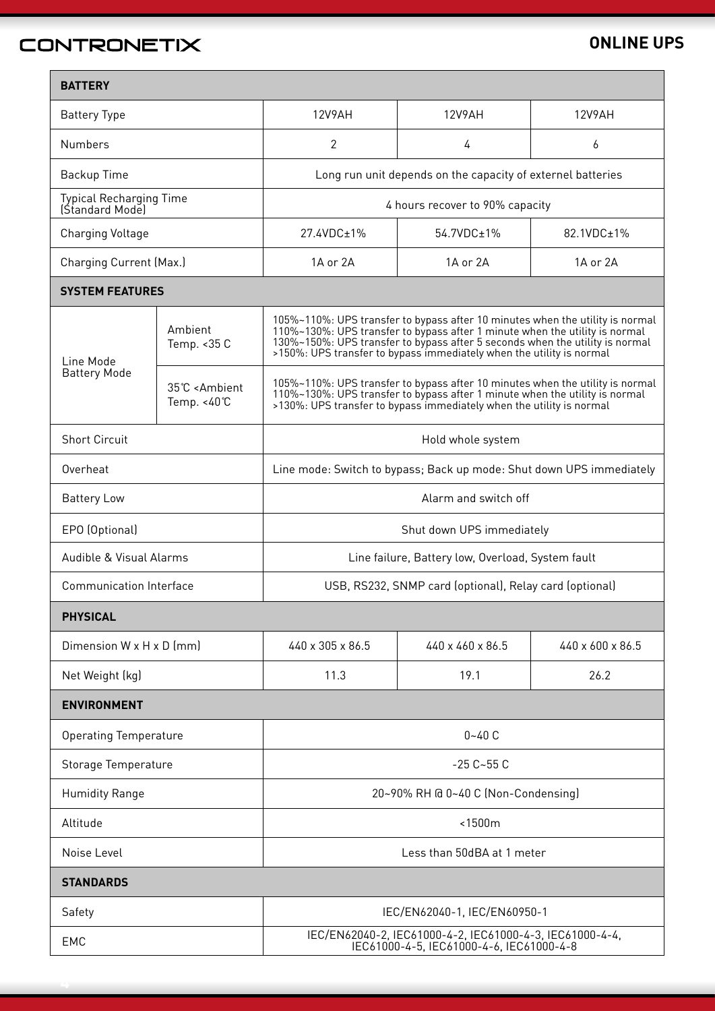# CONTRONETIX

#### **ONLINE UPS**

| <b>BATTERY</b>                                    |                                                                  |                                                                                                                                                                                                                                                                                                                      |                  |                  |  |
|---------------------------------------------------|------------------------------------------------------------------|----------------------------------------------------------------------------------------------------------------------------------------------------------------------------------------------------------------------------------------------------------------------------------------------------------------------|------------------|------------------|--|
| <b>Battery Type</b>                               |                                                                  | <b>12V9AH</b>                                                                                                                                                                                                                                                                                                        | <b>12V9AH</b>    | 12V9AH           |  |
| <b>Numbers</b>                                    |                                                                  | $\overline{2}$                                                                                                                                                                                                                                                                                                       | 4                | 6                |  |
| Backup Time                                       |                                                                  | Long run unit depends on the capacity of externel batteries                                                                                                                                                                                                                                                          |                  |                  |  |
| <b>Typical Recharging Time</b><br>(Standard Model |                                                                  | 4 hours recover to 90% capacity                                                                                                                                                                                                                                                                                      |                  |                  |  |
| Charging Voltage                                  |                                                                  | 27.4VDC±1%                                                                                                                                                                                                                                                                                                           | 54.7VDC±1%       | 82.1VDC±1%       |  |
| <b>Charging Current (Max.)</b>                    |                                                                  | 1A or 2A                                                                                                                                                                                                                                                                                                             | 1A or 2A         | 1A or 2A         |  |
| <b>SYSTEM FEATURES</b>                            |                                                                  |                                                                                                                                                                                                                                                                                                                      |                  |                  |  |
| Line Mode                                         | Ambient<br>Temp. < 35 C                                          | 105%~110%: UPS transfer to bypass after 10 minutes when the utility is normal<br>110%~130%: UPS transfer to bypass after 1 minute when the utility is normal<br>130%~150%: UPS transfer to bypass after 5 seconds when the utility is normal<br>>150%: UPS transfer to bypass immediately when the utility is normal |                  |                  |  |
| <b>Battery Mode</b>                               | 35°C <ambient<br>Temp. <math>&lt;40^{\circ}</math>C</ambient<br> | 105%~110%: UPS transfer to bypass after 10 minutes when the utility is normal<br>110%~130%: UPS transfer to bypass after 1 minute when the utility is normal<br>>130%: UPS transfer to bypass immediately when the utility is normal                                                                                 |                  |                  |  |
| <b>Short Circuit</b>                              |                                                                  | Hold whole system                                                                                                                                                                                                                                                                                                    |                  |                  |  |
| Overheat                                          |                                                                  | Line mode: Switch to bypass; Back up mode: Shut down UPS immediately                                                                                                                                                                                                                                                 |                  |                  |  |
| <b>Battery Low</b>                                |                                                                  | Alarm and switch off                                                                                                                                                                                                                                                                                                 |                  |                  |  |
| EPO (Optional)                                    |                                                                  | Shut down UPS immediately                                                                                                                                                                                                                                                                                            |                  |                  |  |
| Audible & Visual Alarms                           |                                                                  | Line failure, Battery low, Overload, System fault                                                                                                                                                                                                                                                                    |                  |                  |  |
| <b>Communication Interface</b>                    |                                                                  | USB, RS232, SNMP card (optional), Relay card (optional)                                                                                                                                                                                                                                                              |                  |                  |  |
| <b>PHYSICAL</b>                                   |                                                                  |                                                                                                                                                                                                                                                                                                                      |                  |                  |  |
| Dimension $W \times H \times D$ (mm)              |                                                                  | 440 x 305 x 86.5                                                                                                                                                                                                                                                                                                     | 440 x 460 x 86.5 | 440 x 600 x 86.5 |  |
| Net Weight (kg)                                   |                                                                  | 11.3                                                                                                                                                                                                                                                                                                                 | 19.1             | 26.2             |  |
| <b>ENVIRONMENT</b>                                |                                                                  |                                                                                                                                                                                                                                                                                                                      |                  |                  |  |
| <b>Operating Temperature</b>                      |                                                                  | $0 - 40C$                                                                                                                                                                                                                                                                                                            |                  |                  |  |
| Storage Temperature                               |                                                                  | $-25C - 55C$                                                                                                                                                                                                                                                                                                         |                  |                  |  |
| <b>Humidity Range</b>                             |                                                                  | 20~90% RH @ 0~40 C (Non-Condensing)                                                                                                                                                                                                                                                                                  |                  |                  |  |
| Altitude                                          |                                                                  | <1500m                                                                                                                                                                                                                                                                                                               |                  |                  |  |
| Noise Level                                       |                                                                  | Less than 50dBA at 1 meter                                                                                                                                                                                                                                                                                           |                  |                  |  |
| <b>STANDARDS</b>                                  |                                                                  |                                                                                                                                                                                                                                                                                                                      |                  |                  |  |
| Safety                                            |                                                                  | IEC/EN62040-1, IEC/EN60950-1                                                                                                                                                                                                                                                                                         |                  |                  |  |
| EMC                                               |                                                                  | IEC/EN62040-2, IEC61000-4-2, IEC61000-4-3, IEC61000-4-4,<br>IEC61000-4-5, IEC61000-4-6, IEC61000-4-8                                                                                                                                                                                                                 |                  |                  |  |